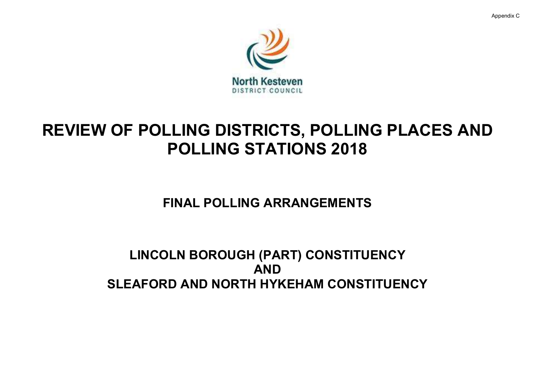Appendix C





# REVIEW OF POLLING DISTRICTS, POLLING PLACES AND POLLING STATIONS 2018

FINAL POLLING ARRANGEMENTS

LINCOLN BOROUGH (PART) CONSTITUENCY AND SLEAFORD AND NORTH HYKEHAM CONSTITUENCY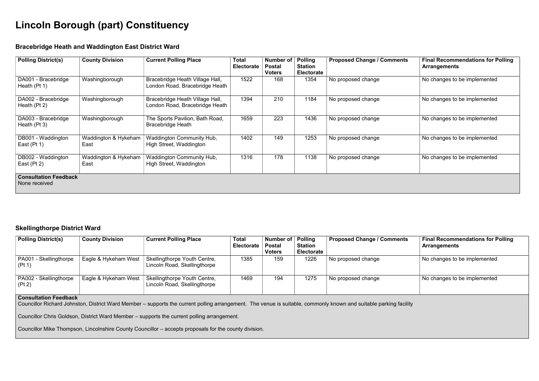## Lincoln Borough (part) Constituency

#### Bracebridge Heath and Waddington East District Ward

| <b>Polling District(s)</b>                    | <b>County Division</b>       | <b>Current Polling Place</b>                                      | <b>Total</b><br><b>Electorate</b> | <b>Number of</b><br><b>Postal</b><br><b>Voters</b> | <b>Polling</b><br><b>Station</b><br><b>Electorate</b> | <b>Proposed Change / Comments</b> | <b>Final Recommendations for Polling</b><br><b>Arrangements</b> |
|-----------------------------------------------|------------------------------|-------------------------------------------------------------------|-----------------------------------|----------------------------------------------------|-------------------------------------------------------|-----------------------------------|-----------------------------------------------------------------|
| DA001 - Bracebridge<br>Heath (Pt 1)           | Washingborough               | Bracebridge Heath Village Hall,<br>London Road, Bracebridge Heath | 1522                              | 168                                                | 1354                                                  | No proposed change                | No changes to be implemented                                    |
| DA002 - Bracebridge<br>Heath (Pt 2)           | Washingborough               | Bracebridge Heath Village Hall,<br>London Road, Bracebridge Heath | 1394                              | 210                                                | 1184                                                  | No proposed change                | No changes to be implemented                                    |
| DA003 - Bracebridge<br>Heath (Pt 3)           | Washingborough               | The Sports Pavilion, Bath Road,<br><b>Bracebridge Heath</b>       | 1659                              | 223                                                | 1436                                                  | No proposed change                | No changes to be implemented                                    |
| DB001 - Waddington<br>East $(Pt 1)$           | Waddington & Hykeham<br>East | <b>Waddington Community Hub,</b><br>High Street, Waddington       | 1402                              | 149                                                | 1253                                                  | No proposed change                | No changes to be implemented                                    |
| DB002 - Waddington<br>East $(Pt 2)$           | Waddington & Hykeham<br>East | <b>Waddington Community Hub,</b><br>High Street, Waddington       | 1316                              | 178                                                | 1138                                                  | No proposed change                | No changes to be implemented                                    |
| <b>Consultation Feedback</b><br>None received |                              |                                                                   |                                   |                                                    |                                                       |                                   |                                                                 |

#### Skellingthorpe District Ward

| <b>Polling District(s)</b>         | <b>County Division</b> | <b>Current Polling Place</b>                                 | <b>Total</b><br><b>Electorate</b> | Number of   Polling<br><b>Postal</b><br><b>Voters</b> | <b>Station</b><br><b>Electorate</b> | <b>Proposed Change / Comments</b> | <b>Final Recommendations for Polling</b><br>Arrangements |
|------------------------------------|------------------------|--------------------------------------------------------------|-----------------------------------|-------------------------------------------------------|-------------------------------------|-----------------------------------|----------------------------------------------------------|
| ⊦ PA001 - Skellingthorpe<br>(Pt 1) | Eagle & Hykeham West   | Skellingthorpe Youth Centre,<br>Lincoln Road, Skellingthorpe | 1385                              | 159                                                   | 1226                                | No proposed change                | No changes to be implemented                             |
| ⊦ PA002 - Skellingthorpe<br>(Pt 2) | Eagle & Hykeham West   | Skellingthorpe Youth Centre,<br>Lincoln Road, Skellingthorpe | 1469                              | 194                                                   | 1275                                | No proposed change                | No changes to be implemented                             |
| <b>Consultation Feedback</b>       |                        |                                                              |                                   |                                                       |                                     |                                   |                                                          |

#### Consultation Feedback

Councillor Richard Johnston, District Ward Member – supports the current polling arrangement. The venue is suitable, commonly known and suitable parking facility

Councillor Chris Goldson, District Ward Member – supports the current polling arrangement.

Councillor Mike Thompson, Lincolnshire County Councillor – accepts proposals for the county division.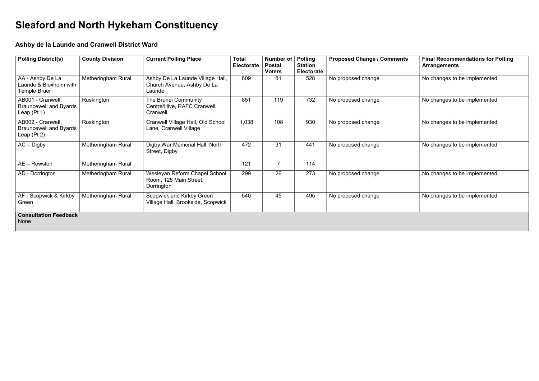## Sleaford and North Hykeham Constituency

## Ashby de la Launde and Cranwell District Ward

| <b>Polling District(s)</b>                                          | <b>County Division</b>    | <b>Current Polling Place</b>                                             | <b>Total</b><br><b>Electorate</b> | <b>Number of</b><br><b>Postal</b><br><b>Voters</b> | <b>Polling</b><br><b>Station</b><br><b>Electorate</b> | <b>Proposed Change / Comments</b> | <b>Final Recommendations for P</b><br><b>Arrangements</b> |
|---------------------------------------------------------------------|---------------------------|--------------------------------------------------------------------------|-----------------------------------|----------------------------------------------------|-------------------------------------------------------|-----------------------------------|-----------------------------------------------------------|
| AA - Ashby De La<br>Launde & Bloxholm with<br>Temple Bruer          | <b>Metheringham Rural</b> | Ashby De La Launde Village Hall,<br>Church Avenue, Ashby De La<br>Launde | 609                               | 81                                                 | 528                                                   | No proposed change                | No changes to be implemented                              |
| AB001 - Cranwell,<br><b>Brauncewell and Byards</b><br>Leap $(Pt 1)$ | Ruskington                | The Brunei Community<br>Centre/Hive, RAFC Cranwell,<br>Cranwell          | 851                               | 119                                                | 732                                                   | No proposed change                | No changes to be implemented                              |
| AB002 - Cranwell,<br><b>Brauncewell and Byards</b><br>Leap $(Pt 2)$ | Ruskington                | Cranwell Village Hall, Old School<br>Lane, Cranwell Village              | 1,038                             | 108                                                | 930                                                   | No proposed change                | No changes to be implemented                              |
| $AC - Digby$                                                        | Metheringham Rural        | Digby War Memorial Hall, North<br>Street, Digby                          | 472                               | 31                                                 | 441                                                   | No proposed change                | No changes to be implemented                              |
| $AE - Rowston$                                                      | Metheringham Rural        |                                                                          | 121                               | $\overline{7}$                                     | 114                                                   |                                   |                                                           |
| AD - Dorrington                                                     | Metheringham Rural        | Wesleyan Reform Chapel School<br>Room, 125 Main Street,<br>Dorrington    | 299                               | 26                                                 | 273                                                   | No proposed change                | No changes to be implemented                              |
| AF - Scopwick & Kirkby<br>Green                                     | Metheringham Rural        | Scopwick and Kirkby Green<br>Village Hall, Brookside, Scopwick           | 540                               | 45                                                 | 495                                                   | No proposed change                | No changes to be implemented                              |
| <b>Consultation Feedback</b><br>None                                |                           |                                                                          |                                   |                                                    |                                                       |                                   |                                                           |

| <b>Proposed Change / Comments</b> | <b>Final Recommendations for Polling</b><br><b>Arrangements</b> |
|-----------------------------------|-----------------------------------------------------------------|
| No proposed change                | No changes to be implemented                                    |
| No proposed change                | No changes to be implemented                                    |
| No proposed change                | No changes to be implemented                                    |
| No proposed change                | No changes to be implemented                                    |
| No proposed change                | No changes to be implemented                                    |
| No proposed change                | No changes to be implemented                                    |
|                                   |                                                                 |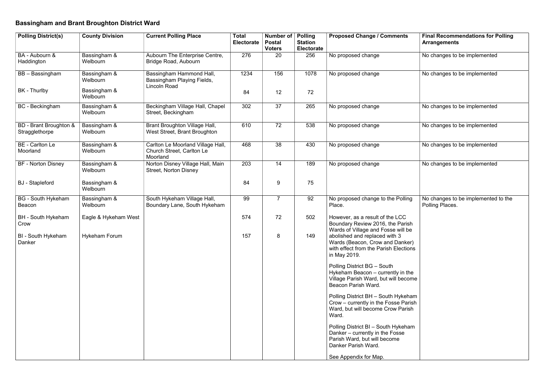## Bassingham and Brant Broughton District Ward

| <b>Polling District(s)</b>                      | <b>County Division</b>   | <b>Current Polling Place</b>                                                  | <b>Total</b><br><b>Electorate</b> | <b>Number of</b><br><b>Postal</b><br><b>Voters</b> | <b>Polling</b><br><b>Station</b><br><b>Electorate</b> | <b>Proposed Change / Comments</b>                                                                                               | <b>Final Recommendations for P</b><br><b>Arrangements</b> |
|-------------------------------------------------|--------------------------|-------------------------------------------------------------------------------|-----------------------------------|----------------------------------------------------|-------------------------------------------------------|---------------------------------------------------------------------------------------------------------------------------------|-----------------------------------------------------------|
| BA - Aubourn &<br>Haddington                    | Bassingham &<br>Welbourn | Aubourn The Enterprise Centre,<br>Bridge Road, Aubourn                        | 276                               | 20                                                 | 256                                                   | No proposed change                                                                                                              | No changes to be implemented                              |
| BB - Bassingham                                 | Bassingham &<br>Welbourn | Bassingham Hammond Hall,<br>Bassingham Playing Fields,<br><b>Lincoln Road</b> | 1234                              | 156                                                | 1078                                                  | No proposed change                                                                                                              | No changes to be implemented                              |
| BK - Thurlby                                    | Bassingham &<br>Welbourn |                                                                               | 84                                | 12                                                 | 72                                                    |                                                                                                                                 |                                                           |
| <b>BC</b> - Beckingham                          | Bassingham &<br>Welbourn | Beckingham Village Hall, Chapel<br>Street, Beckingham                         | 302                               | 37                                                 | 265                                                   | No proposed change                                                                                                              | No changes to be implemented                              |
| <b>BD</b> - Brant Broughton &<br>Stragglethorpe | Bassingham &<br>Welbourn | <b>Brant Broughton Village Hall,</b><br>West Street, Brant Broughton          | 610                               | 72                                                 | 538                                                   | No proposed change                                                                                                              | No changes to be implemented                              |
| <b>BE</b> - Carlton Le<br>Moorland              | Bassingham &<br>Welbourn | Carlton Le Moorland Village Hall,<br>Church Street, Carlton Le<br>Moorland    | 468                               | 38                                                 | 430                                                   | No proposed change                                                                                                              | No changes to be implemented                              |
| <b>BF</b> - Norton Disney                       | Bassingham &<br>Welbourn | Norton Disney Village Hall, Main<br><b>Street, Norton Disney</b>              | 203                               | 14                                                 | 189                                                   | No proposed change                                                                                                              | No changes to be implemented                              |
| <b>BJ</b> - Stapleford                          | Bassingham &<br>Welbourn |                                                                               | 84                                | 9                                                  | 75                                                    |                                                                                                                                 |                                                           |
| <b>BG</b> - South Hykeham<br>Beacon             | Bassingham &<br>Welbourn | South Hykeham Village Hall,<br>Boundary Lane, South Hykeham                   | 99                                | $\overline{7}$                                     | 92                                                    | No proposed change to the Polling<br>Place.                                                                                     | No changes to be implemented<br>Polling Places.           |
| <b>BH</b> - South Hykeham<br>Crow               | Eagle & Hykeham West     |                                                                               | 574                               | 72                                                 | 502                                                   | However, as a result of the LCC<br>Boundary Review 2016, the Parish<br>Wards of Village and Fosse will be                       |                                                           |
| <b>BI</b> - South Hykeham<br>Danker             | <b>Hykeham Forum</b>     |                                                                               | 157                               |                                                    | 149                                                   | abolished and replaced with 3<br>Wards (Beacon, Crow and Danker)<br>with effect from the Parish Elections<br>in May 2019.       |                                                           |
|                                                 |                          |                                                                               |                                   |                                                    |                                                       | Polling District BG - South<br>Hykeham Beacon – currently in the<br>Village Parish Ward, but will become<br>Beacon Parish Ward. |                                                           |
|                                                 |                          |                                                                               |                                   |                                                    |                                                       | Polling District BH - South Hykeham<br>Crow – currently in the Fosse Parish<br>Ward, but will become Crow Parish<br>Ward.       |                                                           |
|                                                 |                          |                                                                               |                                   |                                                    |                                                       | Polling District BI - South Hykeham<br>Danker – currently in the Fosse<br>Parish Ward, but will become<br>Danker Parish Ward.   |                                                           |
|                                                 |                          |                                                                               |                                   |                                                    |                                                       | See Appendix for Map.                                                                                                           |                                                           |

| <b>Proposed Change / Comments</b>                                                                                                                                                                                                                                                     | <b>Final Recommendations for Polling</b><br><b>Arrangements</b> |
|---------------------------------------------------------------------------------------------------------------------------------------------------------------------------------------------------------------------------------------------------------------------------------------|-----------------------------------------------------------------|
| No proposed change                                                                                                                                                                                                                                                                    | No changes to be implemented                                    |
| No proposed change                                                                                                                                                                                                                                                                    | No changes to be implemented                                    |
| No proposed change                                                                                                                                                                                                                                                                    | No changes to be implemented                                    |
| No proposed change                                                                                                                                                                                                                                                                    | No changes to be implemented                                    |
| No proposed change                                                                                                                                                                                                                                                                    | No changes to be implemented                                    |
| No proposed change                                                                                                                                                                                                                                                                    | No changes to be implemented                                    |
| No proposed change to the Polling<br>Place.<br>However, as a result of the LCC<br>Boundary Review 2016, the Parish<br>Wards of Village and Fosse will be<br>abolished and replaced with 3<br>Wards (Beacon, Crow and Danker)<br>with effect from the Parish Elections<br>in May 2019. | No changes to be implemented to the<br>Polling Places.          |
| Polling District BG - South<br>Hykeham Beacon – currently in the<br>Village Parish Ward, but will become<br>Beacon Parish Ward.                                                                                                                                                       |                                                                 |
| Polling District BH – South Hykeham<br>Crow - currently in the Fosse Parish<br>Ward, but will become Crow Parish<br>Ward.                                                                                                                                                             |                                                                 |
| Polling District BI - South Hykeham<br>Danker - currently in the Fosse<br>Parish Ward, but will become<br>Danker Parish Ward.                                                                                                                                                         |                                                                 |
| See Appendix for Map.                                                                                                                                                                                                                                                                 |                                                                 |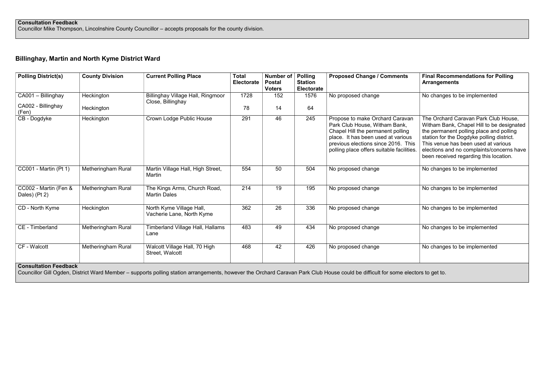Councillor Mike Thompson, Lincolnshire County Councillor – accepts proposals for the county division.

## Billinghay, Martin and North Kyme District Ward

| <b>Polling District(s)</b>             | <b>County Division</b>    | <b>Current Polling Place</b>                          | <b>Total</b><br>Electorate | <b>Number of</b><br><b>Postal</b><br><b>Voters</b> | <b>Polling</b><br><b>Station</b><br><b>Electorate</b> | <b>Proposed Change / Comments</b>                                                                                                                                                                                               | <b>Final Recommendations for Polling</b><br><b>Arrangements</b>                                                                                                                                                                                                                                         |
|----------------------------------------|---------------------------|-------------------------------------------------------|----------------------------|----------------------------------------------------|-------------------------------------------------------|---------------------------------------------------------------------------------------------------------------------------------------------------------------------------------------------------------------------------------|---------------------------------------------------------------------------------------------------------------------------------------------------------------------------------------------------------------------------------------------------------------------------------------------------------|
| CA001 - Billinghay                     | Heckington                | <b>Billinghay Village Hall, Ringmoor</b>              | 1728                       | 152                                                | 1576                                                  | No proposed change                                                                                                                                                                                                              | No changes to be implemented                                                                                                                                                                                                                                                                            |
| CA002 - Billinghay<br>(Fen)            | Heckington                | Close, Billinghay                                     | 78                         | 14                                                 | 64                                                    |                                                                                                                                                                                                                                 |                                                                                                                                                                                                                                                                                                         |
| CB - Dogdyke                           | Heckington                | Crown Lodge Public House                              | 291                        | 46                                                 | 245                                                   | Propose to make Orchard Caravan<br>Park Club House, Witham Bank,<br>Chapel Hill the permanent polling<br>place. It has been used at various<br>previous elections since 2016. This<br>polling place offers suitable facilities. | The Orchard Caravan Park Club House,<br>Witham Bank, Chapel Hill to be designated<br>the permanent polling place and polling<br>station for the Dogdyke polling district.<br>This venue has been used at various<br>elections and no complaints/concerns have<br>been received regarding this location. |
| <b>CC001 - Martin (Pt 1)</b>           | Metheringham Rural        | Martin Village Hall, High Street,<br>Martin           | 554                        | 50                                                 | 504                                                   | No proposed change                                                                                                                                                                                                              | No changes to be implemented                                                                                                                                                                                                                                                                            |
| CC002 - Martin (Fen &<br>Dales) (Pt 2) | <b>Metheringham Rural</b> | The Kings Arms, Church Road,<br><b>Martin Dales</b>   | 214                        | 19                                                 | 195                                                   | No proposed change                                                                                                                                                                                                              | No changes to be implemented                                                                                                                                                                                                                                                                            |
| CD - North Kyme                        | Heckington                | North Kyme Village Hall,<br>Vacherie Lane, North Kyme | 362                        | 26                                                 | 336                                                   | No proposed change                                                                                                                                                                                                              | No changes to be implemented                                                                                                                                                                                                                                                                            |
| CE - Timberland                        | <b>Metheringham Rural</b> | <b>Timberland Village Hall, Hallams</b><br>Lane       | 483                        | 49                                                 | 434                                                   | No proposed change                                                                                                                                                                                                              | No changes to be implemented                                                                                                                                                                                                                                                                            |
| CF - Walcott                           | <b>Metheringham Rural</b> | Walcott Village Hall, 70 High<br>Street, Walcott      | 468                        | 42                                                 | 426                                                   | No proposed change                                                                                                                                                                                                              | No changes to be implemented                                                                                                                                                                                                                                                                            |
| <b>Consultation Feedback</b>           |                           |                                                       |                            |                                                    |                                                       |                                                                                                                                                                                                                                 |                                                                                                                                                                                                                                                                                                         |

Consultation Feedback

Councillor Gill Ogden, District Ward Member – supports polling station arrangements, however the Orchard Caravan Park Club House could be difficult for some electors to get to.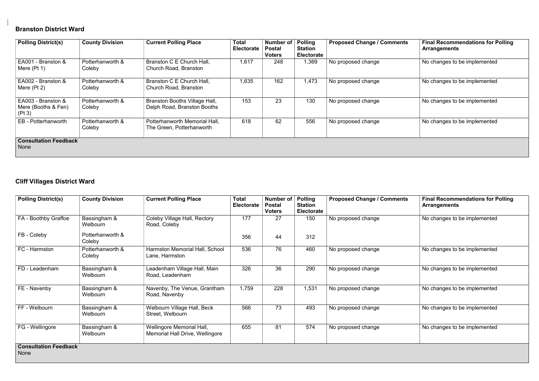## Branston District Ward

| <b>Proposed Change / Comments</b> | <b>Final Recommendations for Polling</b><br><b>Arrangements</b> |
|-----------------------------------|-----------------------------------------------------------------|
| No proposed change                | No changes to be implemented                                    |
| No proposed change                | No changes to be implemented                                    |
| No proposed change                | No changes to be implemented                                    |
| No proposed change                | No changes to be implemented                                    |
|                                   |                                                                 |

| <b>Polling District(s)</b>                          | <b>County Division</b>     | <b>Current Polling Place</b>                                        | <b>Total</b><br><b>Electorate</b> | Number of<br><b>Postal</b><br><b>Voters</b> | <b>Polling</b><br><b>Station</b><br><b>Electorate</b> | <b>Proposed Change / Comments</b> | <b>Final Recommendations for P</b><br><b>Arrangements</b> |
|-----------------------------------------------------|----------------------------|---------------------------------------------------------------------|-----------------------------------|---------------------------------------------|-------------------------------------------------------|-----------------------------------|-----------------------------------------------------------|
| EA001 - Branston &<br>Mere $(Pt 1)$                 | Potterhanworth &<br>Coleby | Branston C E Church Hall,<br>Church Road, Branston                  | 1,617                             | 248                                         | 1,369                                                 | No proposed change                | No changes to be implemented                              |
| EA002 - Branston &<br>Mere $(Pt 2)$                 | Potterhanworth &<br>Coleby | Branston C E Church Hall,<br>Church Road, Branston                  | 1,635                             | 162                                         | 1,473                                                 | No proposed change                | No changes to be implemented                              |
| EA003 - Branston &<br>Mere (Booths & Fen)<br>(Pt 3) | Potterhanworth &<br>Coleby | <b>Branston Booths Village Hall,</b><br>Delph Road, Branston Booths | 153                               | 23                                          | 130                                                   | No proposed change                | No changes to be implemented                              |
| EB - Potterhanworth                                 | Potterhanworth &<br>Coleby | Potterhanworth Memorial Hall,<br>The Green, Potterhanworth          | 618                               | 62                                          | 556                                                   | No proposed change                | No changes to be implemented                              |
| <b>Consultation Feedback</b><br>None                |                            |                                                                     |                                   |                                             |                                                       |                                   |                                                           |

## Cliff Villages District Ward

| <b>Polling District(s)</b>           | <b>County Division</b>     | <b>Current Polling Place</b>                                 | <b>Total</b><br>Electorate | <b>Number of</b><br><b>Postal</b><br><b>Voters</b> | <b>Polling</b><br><b>Station</b><br><b>Electorate</b> | <b>Proposed Change / Comments</b> | <b>Final Recommendations for Polling</b><br><b>Arrangements</b> |
|--------------------------------------|----------------------------|--------------------------------------------------------------|----------------------------|----------------------------------------------------|-------------------------------------------------------|-----------------------------------|-----------------------------------------------------------------|
| FA - Boothby Graffoe                 | Bassingham &<br>Welbourn   | Coleby Village Hall, Rectory<br>Road, Coleby                 | 177                        | 27                                                 | 150                                                   | No proposed change                | No changes to be implemented                                    |
| FB - Coleby                          | Potterhanworth &<br>Coleby |                                                              | 356                        | 44                                                 | 312                                                   |                                   |                                                                 |
| FC - Harmston                        | Potterhanworth &<br>Coleby | Harmston Memorial Hall, School<br>Lane, Harmston             | 536                        | 76                                                 | 460                                                   | No proposed change                | No changes to be implemented                                    |
| FD - Leadenham                       | Bassingham &<br>Welbourn   | Leadenham Village Hall, Main<br>Road, Leadenham              | 326                        | 36                                                 | 290                                                   | No proposed change                | No changes to be implemented                                    |
| FE - Navenby                         | Bassingham &<br>Welbourn   | Navenby, The Venue, Grantham<br>Road, Navenby                | 1,759                      | 228                                                | 1,531                                                 | No proposed change                | No changes to be implemented                                    |
| FF - Welbourn                        | Bassingham &<br>Welbourn   | Welbourn Village Hall, Beck<br>Street, Welbourn              | 566                        | 73                                                 | 493                                                   | No proposed change                | No changes to be implemented                                    |
| FG - Wellingore                      | Bassingham &<br>Welbourn   | Wellingore Memorial Hall,<br>Memorial Hall Drive, Wellingore | 655                        | 81                                                 | 574                                                   | No proposed change                | No changes to be implemented                                    |
| <b>Consultation Feedback</b><br>None |                            |                                                              |                            |                                                    |                                                       |                                   |                                                                 |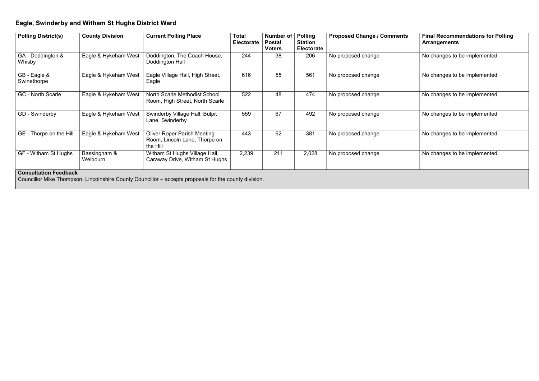## Eagle, Swinderby and Witham St Hughs District Ward

| <b>Polling District(s)</b>   | <b>County Division</b>   | <b>Current Polling Place</b>                                                    | <b>Total</b><br><b>Electorate</b> | <b>Number of</b><br><b>Postal</b><br><b>Voters</b> | <b>Polling</b><br><b>Station</b><br><b>Electorate</b> | <b>Proposed Change / Comments</b> | <b>Final Recommendations for P</b><br><b>Arrangements</b> |
|------------------------------|--------------------------|---------------------------------------------------------------------------------|-----------------------------------|----------------------------------------------------|-------------------------------------------------------|-----------------------------------|-----------------------------------------------------------|
| GA - Doddington &<br>Whisby  | Eagle & Hykeham West     | Doddington, The Coach House,<br>Doddington Hall                                 | 244                               | 38                                                 | 206                                                   | No proposed change                | No changes to be implemented                              |
| GB - Eagle &<br>Swinethorpe  | Eagle & Hykeham West     | Eagle Village Hall, High Street,<br>Eagle                                       | 616                               | 55                                                 | 561                                                   | No proposed change                | No changes to be implemented                              |
| <b>GC</b> - North Scarle     | Eagle & Hykeham West     | <b>North Scarle Methodist School</b><br>Room, High Street, North Scarle         | 522                               | 48                                                 | 474                                                   | No proposed change                | No changes to be implemented                              |
| GD - Swinderby               | Eagle & Hykeham West     | Swinderby Village Hall, Bulpit<br>Lane, Swinderby                               | 559                               | 67                                                 | 492                                                   | No proposed change                | No changes to be implemented                              |
| GE - Thorpe on the Hill      | Eagle & Hykeham West     | <b>Oliver Roper Parish Meeting</b><br>Room, Lincoln Lane, Thorpe on<br>the Hill | 443                               | 62                                                 | 381                                                   | No proposed change                | No changes to be implemented                              |
| GF - Witham St Hughs         | Bassingham &<br>Welbourn | Witham St Hughs Village Hall,<br>Caraway Drive, Witham St Hughs                 | 2,239                             | 211                                                | 2,028                                                 | No proposed change                | No changes to be implemented                              |
| <b>Consultation Feedback</b> |                          |                                                                                 |                                   |                                                    |                                                       |                                   |                                                           |

Councillor Mike Thompson, Lincolnshire County Councillor – accepts proposals for the county division.

| <b>Proposed Change / Comments</b> | <b>Final Recommendations for Polling</b><br><b>Arrangements</b> |
|-----------------------------------|-----------------------------------------------------------------|
| No proposed change                | No changes to be implemented                                    |
| No proposed change                | No changes to be implemented                                    |
| No proposed change                | No changes to be implemented                                    |
| No proposed change                | No changes to be implemented                                    |
| No proposed change                | No changes to be implemented                                    |
| No proposed change                | No changes to be implemented                                    |
|                                   |                                                                 |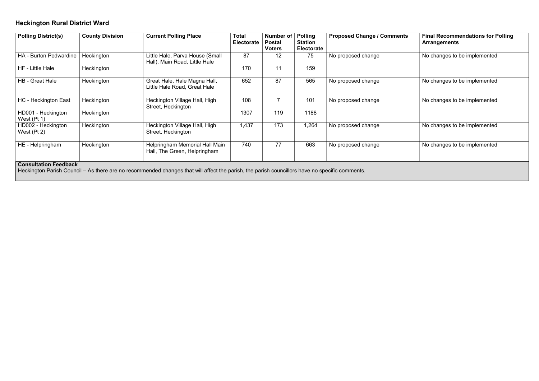## Heckington Rural District Ward

| <b>Polling District(s)</b>          | <b>County Division</b> | <b>Current Polling Place</b>                                     | <b>Total</b><br><b>Electorate</b> | Number of<br><b>Postal</b><br><b>Voters</b> | <b>Polling</b><br><b>Station</b><br><b>Electorate</b> | <b>Proposed Change / Comments</b> | <b>Final Recommendations for P</b><br><b>Arrangements</b> |
|-------------------------------------|------------------------|------------------------------------------------------------------|-----------------------------------|---------------------------------------------|-------------------------------------------------------|-----------------------------------|-----------------------------------------------------------|
| <b>HA - Burton Pedwardine</b>       | Heckington             | Little Hale, Parva House (Small<br>Hall), Main Road, Little Hale | 87                                | 12                                          | 75                                                    | No proposed change                | No changes to be implemented                              |
| HF - Little Hale                    | Heckington             |                                                                  | 170                               | 11                                          | 159                                                   |                                   |                                                           |
| <b>HB</b> - Great Hale              | Heckington             | Great Hale, Hale Magna Hall,<br>Little Hale Road, Great Hale     | 652                               | 87                                          | 565                                                   | No proposed change                | No changes to be implemented                              |
| <b>HC</b> - Heckington East         | Heckington             | Heckington Village Hall, High<br>Street, Heckington              | 108                               |                                             | 101                                                   | No proposed change                | No changes to be implemented                              |
| HD001 - Heckington<br>West $(Pt 1)$ | Heckington             |                                                                  | 1307                              | 119                                         | 1188                                                  |                                   |                                                           |
| HD002 - Heckington<br>West $(Pt 2)$ | Heckington             | Heckington Village Hall, High<br>Street, Heckington              | 1,437                             | 173                                         | 1,264                                                 | No proposed change                | No changes to be implemented                              |
| HE - Helpringham                    | Heckington             | Helpringham Memorial Hall Main<br>Hall, The Green, Helpringham   | 740                               | 77                                          | 663                                                   | No proposed change                | No changes to be implemented                              |
| Concultation Ecodback               |                        |                                                                  |                                   |                                             |                                                       |                                   |                                                           |

#### Consultation Feedback

Heckington Parish Council – As there are no recommended changes that will affect the parish, the parish councillors have no specific comments.

| <b>Proposed Change / Comments</b> | <b>Final Recommendations for Polling</b><br><b>Arrangements</b> |
|-----------------------------------|-----------------------------------------------------------------|
| No proposed change                | No changes to be implemented                                    |
| No proposed change                | No changes to be implemented                                    |
| No proposed change                | No changes to be implemented                                    |
| No proposed change                | No changes to be implemented                                    |
| No proposed change                | No changes to be implemented                                    |
|                                   |                                                                 |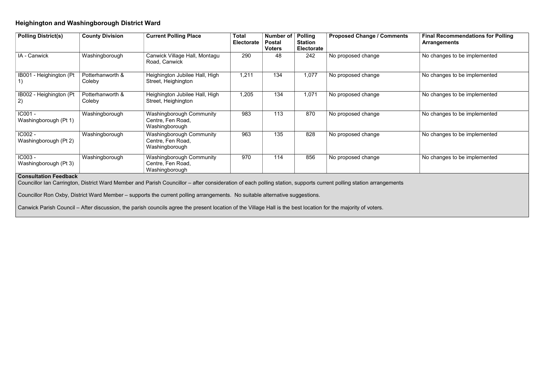#### Heighington and Washingborough District Ward

| <b>Proposed Change / Comments</b> | <b>Final Recommendations for Polling</b><br><b>Arrangements</b> |
|-----------------------------------|-----------------------------------------------------------------|
| No proposed change                | No changes to be implemented                                    |
| No proposed change                | No changes to be implemented                                    |
| No proposed change                | No changes to be implemented                                    |
| No proposed change                | No changes to be implemented                                    |
| No proposed change                | No changes to be implemented                                    |
| No proposed change                | No changes to be implemented                                    |
|                                   |                                                                 |

| <b>Polling District(s)</b>        | <b>County Division</b>     | <b>Current Polling Place</b>                                           | <b>Total</b><br><b>Electorate</b> | <b>Number of</b><br><b>Postal</b><br><b>Voters</b> | <b>Polling</b><br><b>Station</b><br><b>Electorate</b> | <b>Proposed Change / Comments</b> | <b>Final Recommendations for P</b><br><b>Arrangements</b> |
|-----------------------------------|----------------------------|------------------------------------------------------------------------|-----------------------------------|----------------------------------------------------|-------------------------------------------------------|-----------------------------------|-----------------------------------------------------------|
| IA - Canwick                      | Washingborough             | Canwick Village Hall, Montagu<br>Road, Canwick                         | 290                               | 48                                                 | 242                                                   | No proposed change                | No changes to be implemented                              |
| <b>IB001</b><br>- Heighington (Pt | Potterhanworth &<br>Coleby | Heighington Jubilee Hall, High<br>Street, Heighington                  | 1,211                             | 134                                                | 1,077                                                 | No proposed change                | No changes to be implemented                              |
| IB002 - Heighington (Pt)<br>2)    | Potterhanworth &<br>Coleby | Heighington Jubilee Hall, High<br>Street, Heighington                  | 1,205                             | 134                                                | 1,071                                                 | No proposed change                | No changes to be implemented                              |
| IC001 -<br>Washingborough (Pt 1)  | Washingborough             | Washingborough Community<br>Centre, Fen Road,<br>Washingborough        | 983                               | 113                                                | 870                                                   | No proposed change                | No changes to be implemented                              |
| IC002 -<br>Washingborough (Pt 2)  | Washingborough             | <b>Washingborough Community</b><br>Centre, Fen Road,<br>Washingborough | 963                               | 135                                                | 828                                                   | No proposed change                | No changes to be implemented                              |
| IC003 -<br>Washingborough (Pt 3)  | Washingborough             | Washingborough Community<br>Centre, Fen Road,<br>Washingborough        | 970                               | 114                                                | 856                                                   | No proposed change                | No changes to be implemented                              |

#### Consultation Feedback

Councillor Ian Carrington, District Ward Member and Parish Councillor – after consideration of each polling station, supports current polling station arrangements

Councillor Ron Oxby, District Ward Member – supports the current polling arrangements. No suitable alternative suggestions.

Canwick Parish Council – After discussion, the parish councils agree the present location of the Village Hall is the best location for the majority of voters.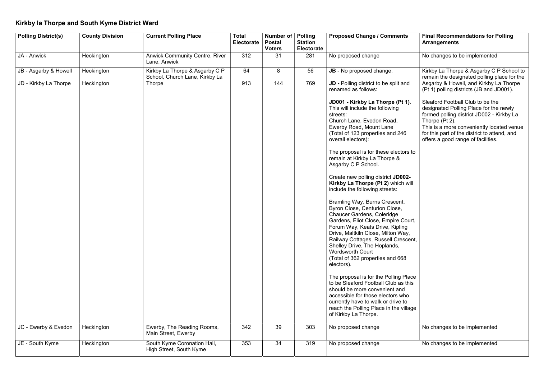## Kirkby la Thorpe and South Kyme District Ward

| <b>Polling District(s)</b> | <b>County Division</b> | <b>Current Polling Place</b>                                     | <b>Total</b><br><b>Electorate</b> | Number of<br><b>Postal</b><br><b>Voters</b> | <b>Polling</b><br><b>Station</b><br><b>Electorate</b> | <b>Proposed Change / Comments</b>                                                                                                                                                                                                                                                                                                                                                                                                                                                                                                                                                                | <b>Final Recommendations for P</b><br><b>Arrangements</b>                                                                                                                                                                                       |
|----------------------------|------------------------|------------------------------------------------------------------|-----------------------------------|---------------------------------------------|-------------------------------------------------------|--------------------------------------------------------------------------------------------------------------------------------------------------------------------------------------------------------------------------------------------------------------------------------------------------------------------------------------------------------------------------------------------------------------------------------------------------------------------------------------------------------------------------------------------------------------------------------------------------|-------------------------------------------------------------------------------------------------------------------------------------------------------------------------------------------------------------------------------------------------|
| JA - Anwick                | Heckington             | <b>Anwick Community Centre, River</b><br>Lane, Anwick            | 312                               | 31                                          | 281                                                   | No proposed change                                                                                                                                                                                                                                                                                                                                                                                                                                                                                                                                                                               | No changes to be implemented                                                                                                                                                                                                                    |
| JB - Asgarby & Howell      | Heckington             | Kirkby La Thorpe & Asgarby C P<br>School, Church Lane, Kirkby La | 64                                | 8                                           | 56                                                    | JB - No proposed change.                                                                                                                                                                                                                                                                                                                                                                                                                                                                                                                                                                         | Kirkby La Thorpe & Asgarby C F<br>remain the designated polling pl                                                                                                                                                                              |
| JD - Kirkby La Thorpe      | Heckington             | <b>Thorpe</b>                                                    | 913                               | 144                                         | 769                                                   | <b>JD</b> - Polling district to be split and<br>renamed as follows:                                                                                                                                                                                                                                                                                                                                                                                                                                                                                                                              | Asgarby & Howell, and Kirkby La<br>(Pt 1) polling districts (JB and JI                                                                                                                                                                          |
|                            |                        |                                                                  |                                   |                                             |                                                       | JD001 - Kirkby La Thorpe (Pt 1).<br>This will include the following<br>streets:<br>Church Lane, Evedon Road,<br>Ewerby Road, Mount Lane<br>(Total of 123 properties and 246<br>overall electors):<br>The proposal is for these electors to<br>remain at Kirkby La Thorpe &<br>Asgarby C P School.<br>Create new polling district JD002-<br>Kirkby La Thorpe (Pt 2) which will<br>include the following streets:<br>Bramling Way, Burns Crescent,<br>Byron Close, Centurion Close,<br><b>Chaucer Gardens, Coleridge</b><br>Gardens, Eliot Close, Empire Court,<br>Forum Way, Keats Drive, Kipling | Sleaford Football Club to be the<br>designated Polling Place for the<br>formed polling district JD002 - K<br>Thorpe (Pt 2).<br>This is a more conveniently loca<br>for this part of the district to atter<br>offers a good range of facilities. |
|                            |                        |                                                                  |                                   |                                             |                                                       | Drive, Maltkiln Close, Milton Way,<br>Railway Cottages, Russell Crescent,<br>Shelley Drive, The Hoplands,<br><b>Wordsworth Court</b><br>(Total of 362 properties and 668<br>electors).                                                                                                                                                                                                                                                                                                                                                                                                           |                                                                                                                                                                                                                                                 |
|                            |                        |                                                                  |                                   |                                             |                                                       | The proposal is for the Polling Place<br>to be Sleaford Football Club as this<br>should be more convenient and<br>accessible for those electors who<br>currently have to walk or drive to<br>reach the Polling Place in the village<br>of Kirkby La Thorpe.                                                                                                                                                                                                                                                                                                                                      |                                                                                                                                                                                                                                                 |
| JC - Ewerby & Evedon       | Heckington             | Ewerby, The Reading Rooms,<br>Main Street, Ewerby                | 342                               | 39                                          | 303                                                   | No proposed change                                                                                                                                                                                                                                                                                                                                                                                                                                                                                                                                                                               | No changes to be implemented                                                                                                                                                                                                                    |
| JE - South Kyme            | Heckington             | South Kyme Coronation Hall,<br>High Street, South Kyme           | 353                               | 34                                          | 319                                                   | No proposed change                                                                                                                                                                                                                                                                                                                                                                                                                                                                                                                                                                               | No changes to be implemented                                                                                                                                                                                                                    |

| <b>Proposed Change / Comments</b>                                                                                                                                                                                                                                                                                                                                       | <b>Final Recommendations for Polling</b><br><b>Arrangements</b>                                                                                                                                                                                                              |
|-------------------------------------------------------------------------------------------------------------------------------------------------------------------------------------------------------------------------------------------------------------------------------------------------------------------------------------------------------------------------|------------------------------------------------------------------------------------------------------------------------------------------------------------------------------------------------------------------------------------------------------------------------------|
| No proposed change                                                                                                                                                                                                                                                                                                                                                      | No changes to be implemented                                                                                                                                                                                                                                                 |
| <b>JB</b> - No proposed change.<br><b>JD</b> - Polling district to be split and<br>renamed as follows:                                                                                                                                                                                                                                                                  | Kirkby La Thorpe & Asgarby C P School to<br>remain the designated polling place for the<br>Asgarby & Howell, and Kirkby La Thorpe<br>(Pt 1) polling districts (JB and JD001).                                                                                                |
| JD001 - Kirkby La Thorpe (Pt 1).<br>This will include the following<br>streets:<br>Church Lane, Evedon Road,<br><b>Ewerby Road, Mount Lane</b><br>(Total of 123 properties and 246<br>overall electors):<br>The proposal is for these electors to                                                                                                                       | Sleaford Football Club to be the<br>designated Polling Place for the newly<br>formed polling district JD002 - Kirkby La<br>Thorpe (Pt 2).<br>This is a more conveniently located venue<br>for this part of the district to attend, and<br>offers a good range of facilities. |
| remain at Kirkby La Thorpe &<br>Asgarby C P School.                                                                                                                                                                                                                                                                                                                     |                                                                                                                                                                                                                                                                              |
| Create new polling district JD002-<br>Kirkby La Thorpe (Pt 2) which will<br>include the following streets:                                                                                                                                                                                                                                                              |                                                                                                                                                                                                                                                                              |
| Bramling Way, Burns Crescent,<br>Byron Close, Centurion Close,<br><b>Chaucer Gardens, Coleridge</b><br>Gardens, Eliot Close, Empire Court,<br>Forum Way, Keats Drive, Kipling<br>Drive, Maltkiln Close, Milton Way,<br>Railway Cottages, Russell Crescent,<br>Shelley Drive, The Hoplands,<br><b>Wordsworth Court</b><br>(Total of 362 properties and 668<br>electors). |                                                                                                                                                                                                                                                                              |
| The proposal is for the Polling Place<br>to be Sleaford Football Club as this<br>should be more convenient and<br>accessible for those electors who<br>currently have to walk or drive to<br>reach the Polling Place in the village<br>of Kirkby La Thorpe.                                                                                                             |                                                                                                                                                                                                                                                                              |
| No proposed change                                                                                                                                                                                                                                                                                                                                                      | No changes to be implemented                                                                                                                                                                                                                                                 |
| No proposed change                                                                                                                                                                                                                                                                                                                                                      | No changes to be implemented                                                                                                                                                                                                                                                 |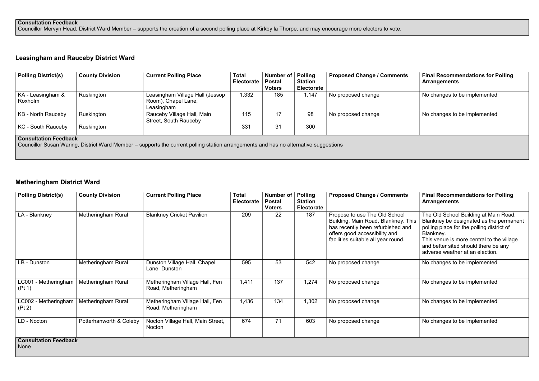#### Consultation Feedback

Councillor Mervyn Head, District Ward Member – supports the creation of a second polling place at Kirkby la Thorpe, and may encourage more electors to vote.

#### Leasingham and Rauceby District Ward

| <b>Polling District(s)</b>   | <b>County Division</b> | <b>Current Polling Place</b>                                         | <b>Total</b><br><b>Electorate</b> | Number of   Polling<br><b>Postal</b><br><b>Voters</b> | <b>Station</b><br><b>Electorate</b> | <b>Proposed Change / Comments</b> | <b>Final Recommendations for P</b><br><b>Arrangements</b> |
|------------------------------|------------------------|----------------------------------------------------------------------|-----------------------------------|-------------------------------------------------------|-------------------------------------|-----------------------------------|-----------------------------------------------------------|
| KA - Leasingham &<br>Roxholm | Ruskington             | Leasingham Village Hall (Jessop<br>Room), Chapel Lane,<br>Leasingham | 1,332                             | 185                                                   | 1,147                               | No proposed change                | No changes to be implemented                              |
| KB - North Rauceby           | Ruskington             | Rauceby Village Hall, Main<br><b>Street, South Rauceby</b>           | 115                               | 17                                                    | 98                                  | No proposed change                | No changes to be implemented                              |
| KC - South Rauceby           | Ruskington             |                                                                      | 331                               | 31                                                    | 300                                 |                                   |                                                           |

#### Consultation Feedback

Councillor Susan Waring, District Ward Member – supports the current polling station arrangements and has no alternative suggestions

#### Metheringham District Ward

| <b>Polling District(s)</b>           | <b>County Division</b>  | <b>Current Polling Place</b>                         | Total<br>Electorate | Number of<br><b>Postal</b><br><b>Voters</b> | Polling<br><b>Station</b><br><b>Electorate</b> | <b>Proposed Change / Comments</b>                                                                                                                                                 | <b>Final Recommendations for Polling</b><br><b>Arrangements</b>                                                                                                                                                                                                    |
|--------------------------------------|-------------------------|------------------------------------------------------|---------------------|---------------------------------------------|------------------------------------------------|-----------------------------------------------------------------------------------------------------------------------------------------------------------------------------------|--------------------------------------------------------------------------------------------------------------------------------------------------------------------------------------------------------------------------------------------------------------------|
| LA - Blankney                        | Metheringham Rural      | <b>Blankney Cricket Pavilion</b>                     | 209                 | 22                                          | 187                                            | Propose to use The Old School<br>Building, Main Road, Blankney. This<br>has recently been refurbished and<br>offers good accessibility and<br>facilities suitable all year round. | The Old School Building at Main Road,<br>Blankney be designated as the permanent<br>polling place for the polling district of<br>Blankney.<br>This venue is more central to the village<br>and better sited should there be any<br>adverse weather at an election. |
| LB - Dunston                         | Metheringham Rural      | Dunston Village Hall, Chapel<br>Lane, Dunston        | 595                 | 53                                          | 542                                            | No proposed change                                                                                                                                                                | No changes to be implemented                                                                                                                                                                                                                                       |
| LC001 - Metheringham<br>(Pt 1)       | Metheringham Rural      | Metheringham Village Hall, Fen<br>Road, Metheringham | 1,411               | 137                                         | 1,274                                          | No proposed change                                                                                                                                                                | No changes to be implemented                                                                                                                                                                                                                                       |
| LC002 - Metheringham<br>(Pt 2)       | Metheringham Rural      | Metheringham Village Hall, Fen<br>Road, Metheringham | 1,436               | 134                                         | 1,302                                          | No proposed change                                                                                                                                                                | No changes to be implemented                                                                                                                                                                                                                                       |
| LD - Nocton                          | Potterhanworth & Coleby | Nocton Village Hall, Main Street,<br>Nocton          | 674                 | 71                                          | 603                                            | No proposed change                                                                                                                                                                | No changes to be implemented                                                                                                                                                                                                                                       |
| <b>Consultation Feedback</b><br>None |                         |                                                      |                     |                                             |                                                |                                                                                                                                                                                   |                                                                                                                                                                                                                                                                    |

| <b>Proposed Change / Comments</b> | <b>Final Recommendations for Polling</b><br><b>Arrangements</b> |
|-----------------------------------|-----------------------------------------------------------------|
| No proposed change                | No changes to be implemented                                    |
| No proposed change                | No changes to be implemented                                    |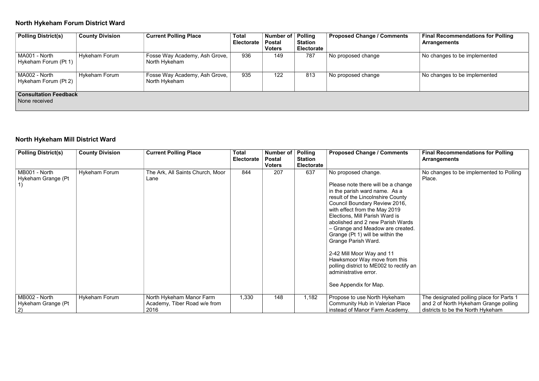## North Hykeham Forum District Ward

| <b>Proposed Change / Comments</b> | <b>Final Recommendations for Polling</b><br><b>Arrangements</b> |
|-----------------------------------|-----------------------------------------------------------------|
| No proposed change                | No changes to be implemented                                    |
| No proposed change                | No changes to be implemented                                    |
|                                   |                                                                 |

| <b>Polling District(s)</b>                    | <b>County Division</b> | <b>Current Polling Place</b>                   | <b>Total</b><br><b>Electorate</b> | Number of   Polling<br><b>Postal</b><br><b>Voters</b> | <b>Station</b><br><b>Electorate</b> | <b>Proposed Change / Comments</b> | <b>Final Recommendations for P</b><br><b>Arrangements</b> |
|-----------------------------------------------|------------------------|------------------------------------------------|-----------------------------------|-------------------------------------------------------|-------------------------------------|-----------------------------------|-----------------------------------------------------------|
| MA001 - North<br>Hykeham Forum (Pt 1)         | <b>Hykeham Forum</b>   | Fosse Way Academy, Ash Grove,<br>North Hykeham | 936                               | 149                                                   | 787                                 | No proposed change                | No changes to be implemented                              |
| MA002 - North<br>Hykeham Forum (Pt 2)         | <b>Hykeham Forum</b>   | Fosse Way Academy, Ash Grove,<br>North Hykeham | 935                               | 122                                                   | 813                                 | No proposed change                | No changes to be implemented                              |
| <b>Consultation Feedback</b><br>None received |                        |                                                |                                   |                                                       |                                     |                                   |                                                           |

## North Hykeham Mill District Ward

| <b>Polling District(s)</b>                | <b>County Division</b> | <b>Current Polling Place</b>                                     | <b>Total</b><br>Electorate | <b>Number of</b><br><b>Postal</b><br><b>Voters</b> | <b>Polling</b><br><b>Station</b><br><b>Electorate</b> | <b>Proposed Change / Comments</b>                                                                                                                                                                                                                                                                                                                                                                                                                                                                                                | <b>Final Recommendations for Polling</b><br><b>Arrangements</b>                                                        |
|-------------------------------------------|------------------------|------------------------------------------------------------------|----------------------------|----------------------------------------------------|-------------------------------------------------------|----------------------------------------------------------------------------------------------------------------------------------------------------------------------------------------------------------------------------------------------------------------------------------------------------------------------------------------------------------------------------------------------------------------------------------------------------------------------------------------------------------------------------------|------------------------------------------------------------------------------------------------------------------------|
| MB001 - North<br>Hykeham Grange (Pt       | <b>Hykeham Forum</b>   | The Ark, All Saints Church, Moor<br>Lane                         | 844                        | 207                                                | 637                                                   | No proposed change.<br>Please note there will be a change<br>in the parish ward name. As a<br>result of the Lincolnshire County<br>Council Boundary Review 2016,<br>with effect from the May 2019<br>Elections, Mill Parish Ward is<br>abolished and 2 new Parish Wards<br>- Grange and Meadow are created.<br>Grange (Pt 1) will be within the<br>Grange Parish Ward.<br>2-42 Mill Moor Way and 11<br>Hawksmoor Way move from this<br>polling district to ME002 to rectify an<br>administrative error.<br>See Appendix for Map. | No changes to be implemented to Polling<br>Place.                                                                      |
| MB002 - North<br>Hykeham Grange (Pt<br>2) | <b>Hykeham Forum</b>   | North Hykeham Manor Farm<br>Academy, Tiber Road w/e from<br>2016 | 1,330                      | 148                                                | 1,182                                                 | Propose to use North Hykeham<br><b>Community Hub in Valerian Place</b><br>instead of Manor Farm Academy.                                                                                                                                                                                                                                                                                                                                                                                                                         | The designated polling place for Parts 1<br>and 2 of North Hykeham Grange polling<br>districts to be the North Hykeham |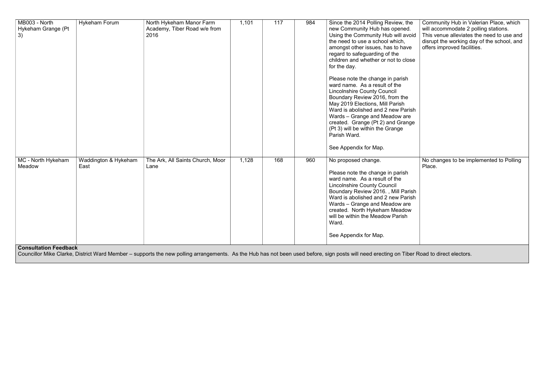| MB003 - North<br>Hykeham Grange (Pt<br>3)                    | <b>Hykeham Forum</b>         | North Hykeham Manor Farm<br>Academy, Tiber Road w/e from<br>2016 | 1,101 | 117 | 984 | Since the 2014 Polling Review, the<br>new Community Hub has opened.<br>Using the Community Hub will avoid<br>the need to use a school which,<br>amongst other issues, has to have<br>regard to safeguarding of the<br>children and whether or not to close<br>for the day.                                                                                            |
|--------------------------------------------------------------|------------------------------|------------------------------------------------------------------|-------|-----|-----|-----------------------------------------------------------------------------------------------------------------------------------------------------------------------------------------------------------------------------------------------------------------------------------------------------------------------------------------------------------------------|
|                                                              |                              |                                                                  |       |     |     | Please note the change in parish<br>ward name. As a result of the<br><b>Lincolnshire County Council</b><br>Boundary Review 2016, from the<br>May 2019 Elections, Mill Parish<br>Ward is abolished and 2 new Parish<br>Wards - Grange and Meadow are<br>created. Grange (Pt 2) and Grange<br>(Pt 3) will be within the Grange<br>Parish Ward.<br>See Appendix for Map. |
| MC - North Hykeham<br>Meadow<br><b>Consultation Feedback</b> | Waddington & Hykeham<br>East | The Ark, All Saints Church, Moor<br>Lane                         | 1,128 | 168 | 960 | No proposed change.<br>Please note the change in parish<br>ward name. As a result of the<br><b>Lincolnshire County Council</b><br>Boundary Review 2016., Mill Parish<br>Ward is abolished and 2 new Parish<br>Wards - Grange and Meadow are<br>created. North Hykeham Meadow<br>will be within the Meadow Parish<br>Ward.<br>See Appendix for Map.                    |

| he<br>J.<br>oid/  | Community Hub in Valerian Place, which<br>will accommodate 2 polling stations.<br>This venue alleviates the need to use and |
|-------------------|-----------------------------------------------------------------------------------------------------------------------------|
| /e                | disrupt the working day of the school, and<br>offers improved facilities.                                                   |
| ose               |                                                                                                                             |
|                   |                                                                                                                             |
|                   |                                                                                                                             |
|                   |                                                                                                                             |
| rish<br>.e<br>ige |                                                                                                                             |
|                   |                                                                                                                             |
|                   |                                                                                                                             |
|                   | No changes to be implemented to Polling<br>Place.                                                                           |
| rish<br>rish<br>e |                                                                                                                             |
| W                 |                                                                                                                             |
|                   |                                                                                                                             |
|                   |                                                                                                                             |

Councillor Mike Clarke, District Ward Member – supports the new polling arrangements. As the Hub has not been used before, sign posts will need erecting on Tiber Road to direct electors.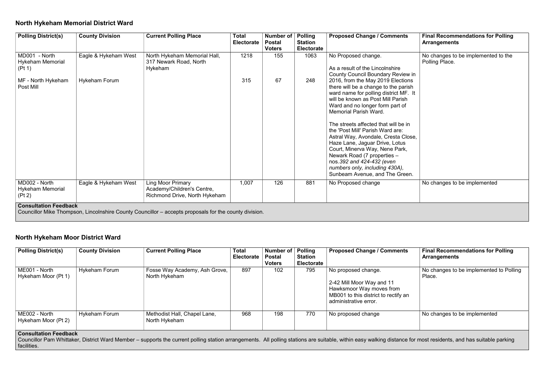#### North Hykeham Memorial District Ward

| <b>Proposed Change / Comments</b>                                                                                                                                                                                                                                                                                                                                                                                                                                                                                                                                                                                                                                      | <b>Final Recommendations for Polling</b><br><b>Arrangements</b>                       |
|------------------------------------------------------------------------------------------------------------------------------------------------------------------------------------------------------------------------------------------------------------------------------------------------------------------------------------------------------------------------------------------------------------------------------------------------------------------------------------------------------------------------------------------------------------------------------------------------------------------------------------------------------------------------|---------------------------------------------------------------------------------------|
| No Proposed change.<br>As a result of the Lincolnshire<br><b>County Council Boundary Review in</b><br>2016, from the May 2019 Elections<br>there will be a change to the parish<br>ward name for polling district MF. It<br>will be known as Post Mill Parish<br>Ward and no longer form part of<br>Memorial Parish Ward.<br>The streets affected that will be in<br>the 'Post Mill' Parish Ward are:<br>Astral Way, Avondale, Cresta Close,<br>Haze Lane, Jaguar Drive, Lotus<br>Court, Minerva Way, Nene Park,<br>Newark Road (7 properties -<br>nos.392 and 424-432 (even<br>numbers only, including 430A),<br>Sunbeam Avenue, and The Green.<br>No Proposed change | No changes to be implemented to the<br>Polling Place.<br>No changes to be implemented |
|                                                                                                                                                                                                                                                                                                                                                                                                                                                                                                                                                                                                                                                                        |                                                                                       |

| <b>Polling District(s)</b>                                           | <b>County Division</b> | <b>Current Polling Place</b>                                                            | <b>Total</b><br><b>Electorate</b> | Number of<br><b>Postal</b><br><b>Voters</b> | <b>Polling</b><br><b>Station</b><br><b>Electorate</b> | <b>Proposed Change / Comments</b>                                                                                                                                                                                                                                                                                                                                                                                                                                                                                                                 | <b>Final Recommendations for P</b><br><b>Arrangements</b> |
|----------------------------------------------------------------------|------------------------|-----------------------------------------------------------------------------------------|-----------------------------------|---------------------------------------------|-------------------------------------------------------|---------------------------------------------------------------------------------------------------------------------------------------------------------------------------------------------------------------------------------------------------------------------------------------------------------------------------------------------------------------------------------------------------------------------------------------------------------------------------------------------------------------------------------------------------|-----------------------------------------------------------|
| MD001 - North<br><b>Hykeham Memorial</b><br>(Pt 1)                   | Eagle & Hykeham West   | North Hykeham Memorial Hall,<br>317 Newark Road, North<br>Hykeham                       | 1218                              | 155                                         | 1063                                                  | No Proposed change.<br>As a result of the Lincolnshire<br><b>County Council Boundary Review in</b>                                                                                                                                                                                                                                                                                                                                                                                                                                                | No changes to be implemented<br>Polling Place.            |
| MF - North Hykeham<br>Post Mill                                      | <b>Hykeham Forum</b>   |                                                                                         | 315                               | 67                                          | 248                                                   | 2016, from the May 2019 Elections<br>there will be a change to the parish<br>ward name for polling district MF. It<br>will be known as Post Mill Parish<br>Ward and no longer form part of<br><b>Memorial Parish Ward.</b><br>The streets affected that will be in<br>the 'Post Mill' Parish Ward are:<br>Astral Way, Avondale, Cresta Close,<br>Haze Lane, Jaguar Drive, Lotus<br>Court, Minerva Way, Nene Park,<br>Newark Road (7 properties -<br>nos.392 and 424-432 (even<br>numbers only, including 430A),<br>Sunbeam Avenue, and The Green. |                                                           |
| MD002 - North<br>Hykeham Memorial<br>(Pt 2)<br>Consultation Foodhack | Eagle & Hykeham West   | <b>Ling Moor Primary</b><br>Academy/Children's Centre,<br>Richmond Drive, North Hykeham | 1,007                             | 126                                         | 881                                                   | No Proposed change                                                                                                                                                                                                                                                                                                                                                                                                                                                                                                                                | No changes to be implemented                              |

#### Consultation Feedback

Councillor Mike Thompson, Lincolnshire County Councillor – accepts proposals for the county division.

#### North Hykeham Moor District Ward

| <b>Polling District(s)</b>                                           | <b>County Division</b> | <b>Current Polling Place</b>                   | <b>Total</b><br><b>Electorate</b> | Number of   Polling<br><b>Postal</b><br><b>Voters</b> | <b>Station</b><br><b>Electorate</b> | <b>Proposed Change / Comments</b>                                                                                                             | <b>Final Recommendations for Polling</b><br><b>Arrangements</b> |
|----------------------------------------------------------------------|------------------------|------------------------------------------------|-----------------------------------|-------------------------------------------------------|-------------------------------------|-----------------------------------------------------------------------------------------------------------------------------------------------|-----------------------------------------------------------------|
| ME001 - North<br>Hykeham Moor (Pt 1)                                 | <b>Hykeham Forum</b>   | Fosse Way Academy, Ash Grove,<br>North Hykeham | 897                               | 102                                                   | 795                                 | No proposed change.<br>2-42 Mill Moor Way and 11<br>Hawksmoor Way moves from<br>MB001 to this district to rectify an<br>administrative error. | No changes to be implemented to Polling<br>Place.               |
| ME002 - North<br>Hykeham Moor (Pt 2)<br><b>Consultation Feedback</b> | <b>Hykeham Forum</b>   | Methodist Hall, Chapel Lane,<br>North Hykeham  | 968                               | 198                                                   | 770                                 | No proposed change                                                                                                                            | No changes to be implemented                                    |

#### Councillor Pam Whittaker, District Ward Member – supports the current polling station arrangements. All polling stations are suitable, within easy walking distance for most residents, and has suitable parking

facilities.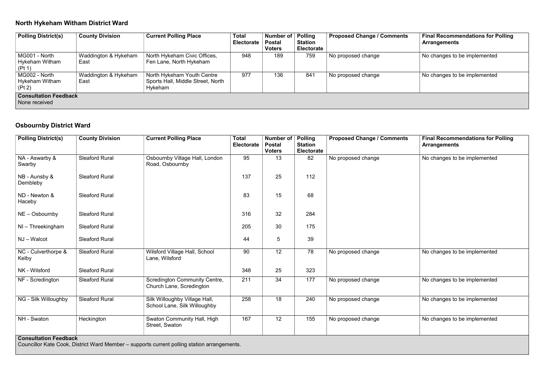## North Hykeham Witham District Ward

| <b>Proposed Change / Comments</b> | <b>Final Recommendations for Polling</b><br><b>Arrangements</b> |
|-----------------------------------|-----------------------------------------------------------------|
| No proposed change                | No changes to be implemented                                    |
| No proposed change                | No changes to be implemented                                    |
|                                   |                                                                 |

| <b>Polling District(s)</b>                    | <b>County Division</b>       | <b>Current Polling Place</b>                                               | <b>Total</b><br><b>Electorate</b> | Number of   Polling<br><b>Postal</b><br><b>Voters</b> | <b>Station</b><br><b>Electorate</b> | <b>Proposed Change / Comments</b> | <b>Final Recommendations for P</b><br><b>Arrangements</b> |
|-----------------------------------------------|------------------------------|----------------------------------------------------------------------------|-----------------------------------|-------------------------------------------------------|-------------------------------------|-----------------------------------|-----------------------------------------------------------|
| MG001 - North<br>Hykeham Witham<br>(Pt 1)     | Waddington & Hykeham<br>East | North Hykeham Civic Offices,<br>Fen Lane, North Hykeham                    | 948                               | 189                                                   | 759                                 | No proposed change                | No changes to be implemented                              |
| MG002 - North<br>Hykeham Witham<br>(Pt 2)     | Waddington & Hykeham<br>East | North Hykeham Youth Centre<br>Sports Hall, Middle Street, North<br>Hykeham | 977                               | 136                                                   | 841                                 | No proposed change                | No changes to be implemented                              |
| <b>Consultation Feedback</b><br>None received |                              |                                                                            |                                   |                                                       |                                     |                                   |                                                           |

#### Osbournby District Ward

| 95<br><b>Sleaford Rural</b><br>NA - Aswarby &<br>Osbournby Village Hall, London<br>13<br>82<br>No proposed change<br>No changes to be implemented<br>Road, Osbournby<br>Swarby<br>25<br>112<br>137<br><b>Sleaford Rural</b><br>NB - Aunsby &<br>Dembleby<br>83<br>15<br>68<br>ND - Newton &<br><b>Sleaford Rural</b><br>Haceby<br>316<br>32<br>284<br>$NE - Osbournby$<br><b>Sleaford Rural</b><br>205<br>30<br>175<br>$NI$ – Threekingham<br><b>Sleaford Rural</b><br>39<br>44<br>$5\phantom{.0}$<br>NJ-Walcot<br><b>Sleaford Rural</b><br>12<br>78<br>NC - Culverthorpe &<br><b>Sleaford Rural</b><br>Wilsford Village Hall, School<br>90<br>No proposed change<br>No changes to be implemented<br>Lane, Wilsford<br>Kelby<br>NK - Wilsford<br><b>Sleaford Rural</b><br>348<br>25<br>323<br>177<br><b>Sleaford Rural</b><br><b>Scredington Community Centre,</b><br>211<br>34<br>No proposed change<br>No changes to be implemented<br>NF - Scredington<br>Church Lane, Scredington<br>258<br>NG - Silk Willoughby<br><b>Sleaford Rural</b><br>18<br>240<br>Silk Willoughby Village Hall,<br>No proposed change<br>No changes to be implemented<br>School Lane, Silk Willoughby<br>167<br>12<br>NH - Swaton<br><b>Swaton Community Hall, High</b><br>155<br>Heckington<br>No proposed change<br>No changes to be implemented | <b>Polling District(s)</b> | <b>County Division</b> | <b>Current Polling Place</b> | <b>Total</b><br><b>Electorate</b> | <b>Number of</b><br><b>Postal</b><br><b>Voters</b> | <b>Polling</b><br><b>Station</b><br><b>Electorate</b> | <b>Proposed Change / Comments</b> | <b>Final Recommendations for Polling</b><br><b>Arrangements</b> |
|--------------------------------------------------------------------------------------------------------------------------------------------------------------------------------------------------------------------------------------------------------------------------------------------------------------------------------------------------------------------------------------------------------------------------------------------------------------------------------------------------------------------------------------------------------------------------------------------------------------------------------------------------------------------------------------------------------------------------------------------------------------------------------------------------------------------------------------------------------------------------------------------------------------------------------------------------------------------------------------------------------------------------------------------------------------------------------------------------------------------------------------------------------------------------------------------------------------------------------------------------------------------------------------------------------------------------------|----------------------------|------------------------|------------------------------|-----------------------------------|----------------------------------------------------|-------------------------------------------------------|-----------------------------------|-----------------------------------------------------------------|
|                                                                                                                                                                                                                                                                                                                                                                                                                                                                                                                                                                                                                                                                                                                                                                                                                                                                                                                                                                                                                                                                                                                                                                                                                                                                                                                                |                            |                        |                              |                                   |                                                    |                                                       |                                   |                                                                 |
|                                                                                                                                                                                                                                                                                                                                                                                                                                                                                                                                                                                                                                                                                                                                                                                                                                                                                                                                                                                                                                                                                                                                                                                                                                                                                                                                |                            |                        |                              |                                   |                                                    |                                                       |                                   |                                                                 |
|                                                                                                                                                                                                                                                                                                                                                                                                                                                                                                                                                                                                                                                                                                                                                                                                                                                                                                                                                                                                                                                                                                                                                                                                                                                                                                                                |                            |                        |                              |                                   |                                                    |                                                       |                                   |                                                                 |
|                                                                                                                                                                                                                                                                                                                                                                                                                                                                                                                                                                                                                                                                                                                                                                                                                                                                                                                                                                                                                                                                                                                                                                                                                                                                                                                                |                            |                        |                              |                                   |                                                    |                                                       |                                   |                                                                 |
|                                                                                                                                                                                                                                                                                                                                                                                                                                                                                                                                                                                                                                                                                                                                                                                                                                                                                                                                                                                                                                                                                                                                                                                                                                                                                                                                |                            |                        |                              |                                   |                                                    |                                                       |                                   |                                                                 |
|                                                                                                                                                                                                                                                                                                                                                                                                                                                                                                                                                                                                                                                                                                                                                                                                                                                                                                                                                                                                                                                                                                                                                                                                                                                                                                                                |                            |                        |                              |                                   |                                                    |                                                       |                                   |                                                                 |
|                                                                                                                                                                                                                                                                                                                                                                                                                                                                                                                                                                                                                                                                                                                                                                                                                                                                                                                                                                                                                                                                                                                                                                                                                                                                                                                                |                            |                        |                              |                                   |                                                    |                                                       |                                   |                                                                 |
|                                                                                                                                                                                                                                                                                                                                                                                                                                                                                                                                                                                                                                                                                                                                                                                                                                                                                                                                                                                                                                                                                                                                                                                                                                                                                                                                |                            |                        |                              |                                   |                                                    |                                                       |                                   |                                                                 |
|                                                                                                                                                                                                                                                                                                                                                                                                                                                                                                                                                                                                                                                                                                                                                                                                                                                                                                                                                                                                                                                                                                                                                                                                                                                                                                                                |                            |                        |                              |                                   |                                                    |                                                       |                                   |                                                                 |
|                                                                                                                                                                                                                                                                                                                                                                                                                                                                                                                                                                                                                                                                                                                                                                                                                                                                                                                                                                                                                                                                                                                                                                                                                                                                                                                                |                            |                        |                              |                                   |                                                    |                                                       |                                   |                                                                 |
| Occasillation Foodback                                                                                                                                                                                                                                                                                                                                                                                                                                                                                                                                                                                                                                                                                                                                                                                                                                                                                                                                                                                                                                                                                                                                                                                                                                                                                                         |                            |                        | Street, Swaton               |                                   |                                                    |                                                       |                                   |                                                                 |

#### Consultation Feedback

Councillor Kate Cook, District Ward Member – supports current polling station arrangements.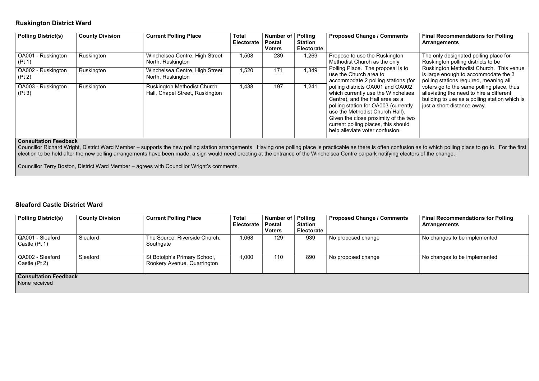#### Ruskington District Ward

| <b>Proposed Change / Comments</b>                                                                                                                                                                                                                                                                                                                                                                                                                                              | <b>Final Recommendations for Polling</b><br><b>Arrangements</b>                                                                                                                                                                                                                                                                                                                   |
|--------------------------------------------------------------------------------------------------------------------------------------------------------------------------------------------------------------------------------------------------------------------------------------------------------------------------------------------------------------------------------------------------------------------------------------------------------------------------------|-----------------------------------------------------------------------------------------------------------------------------------------------------------------------------------------------------------------------------------------------------------------------------------------------------------------------------------------------------------------------------------|
| Propose to use the Ruskington<br>Methodist Church as the only<br>Polling Place. The proposal is to<br>use the Church area to<br>accommodate 2 polling stations (for<br>polling districts OA001 and OA002<br>which currently use the Winchelsea<br>Centre), and the Hall area as a<br>polling station for OA003 (currently<br>use the Methodist Church Hall).<br>Given the close proximity of the two<br>current polling places, this should<br>help alleviate voter confusion. | The only designated polling place for<br>Ruskington polling districts to be<br>Ruskington Methodist Church. This venue<br>is large enough to accommodate the 3<br>polling stations required, meaning all<br>voters go to the same polling place, thus<br>alleviating the need to hire a different<br>building to use as a polling station which is<br>just a short distance away. |

Councillor Richard Wright, District Ward Member – supports the new polling station arrangements. Having one polling place is practicable as there is often confusion as to which polling place to go to. For the first election to be held after the new polling arrangements have been made, a sign would need erecting at the entrance of the Winchelsea Centre carpark notifying electors of the change.

| <b>Polling District(s)</b>   | <b>County Division</b> | <b>Current Polling Place</b>                                          | <b>Total</b><br><b>Electorate</b> | <b>Number of</b><br><b>Postal</b><br><b>Voters</b> | <b>Polling</b><br><b>Station</b><br><b>Electorate</b> | <b>Proposed Change / Comments</b>                                                                                                                                                                                                                                                                       |
|------------------------------|------------------------|-----------------------------------------------------------------------|-----------------------------------|----------------------------------------------------|-------------------------------------------------------|---------------------------------------------------------------------------------------------------------------------------------------------------------------------------------------------------------------------------------------------------------------------------------------------------------|
| OA001 - Ruskington<br>(Pt 1) | Ruskington             | Winchelsea Centre, High Street<br>North, Ruskington                   | 1,508                             | 239                                                | 1,269                                                 | Propose to use the Ruskington<br>Methodist Church as the only                                                                                                                                                                                                                                           |
| OA002 - Ruskington<br>(Pt 2) | Ruskington             | Winchelsea Centre, High Street<br>North, Ruskington                   | 1,520                             | 171                                                | 1,349                                                 | Polling Place. The proposal is to<br>use the Church area to<br>accommodate 2 polling stations (for                                                                                                                                                                                                      |
| OA003 - Ruskington<br>(Pt 3) | Ruskington             | <b>Ruskington Methodist Church</b><br>Hall, Chapel Street, Ruskington | 1,438                             | 197                                                | 1,241                                                 | polling districts OA001 and OA002<br>which currently use the Winchelsea<br>Centre), and the Hall area as a<br>polling station for OA003 (currently<br>use the Methodist Church Hall).<br>Given the close proximity of the two<br>current polling places, this should<br>help alleviate voter confusion. |

#### Consultation Feedback

Councillor Terry Boston, District Ward Member – agrees with Councillor Wright's comments.

#### Sleaford Castle District Ward

| <b>Polling District(s)</b>                    | <b>County Division</b> | <b>Current Polling Place</b>                                | <b>Total</b><br><b>Electorate</b> | Number of<br><b>Postal</b><br><b>Voters</b> | Polling<br><b>Station</b><br><b>Electorate</b> | <b>Proposed Change / Comments</b> | <b>Final Recommendations for Polling</b><br><b>Arrangements</b> |
|-----------------------------------------------|------------------------|-------------------------------------------------------------|-----------------------------------|---------------------------------------------|------------------------------------------------|-----------------------------------|-----------------------------------------------------------------|
| QA001 - Sleaford<br>Castle (Pt 1)             | Sleaford               | The Source, Riverside Church,<br>Southgate                  | 1,068                             | 129                                         | 939                                            | No proposed change                | No changes to be implemented                                    |
| QA002 - Sleaford<br>Castle (Pt 2)             | Sleaford               | St Botolph's Primary School,<br>Rookery Avenue, Quarrington | 1,000                             | 110                                         | 890                                            | No proposed change                | No changes to be implemented                                    |
| <b>Consultation Feedback</b><br>None received |                        |                                                             |                                   |                                             |                                                |                                   |                                                                 |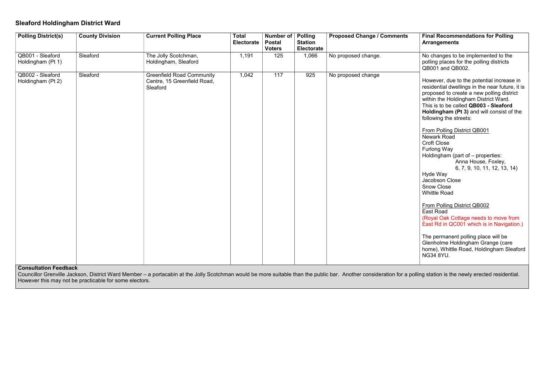#### Sleaford Holdingham District Ward

| <b>Polling District(s)</b>            | <b>County Division</b> | <b>Current Polling Place</b>                                                | <b>Total</b><br><b>Electorate</b> | Number of   Polling<br><b>Postal</b><br><b>Voters</b> | <b>Station</b><br>Electorate | <b>Proposed Change / Comments</b> | <b>Final Recommendations for Polling</b><br><b>Arrangements</b>                                                                                                                                                                                                                                                                                                                                                                                                                                                                                                                                                                                                                                                                                                                                                                                               |
|---------------------------------------|------------------------|-----------------------------------------------------------------------------|-----------------------------------|-------------------------------------------------------|------------------------------|-----------------------------------|---------------------------------------------------------------------------------------------------------------------------------------------------------------------------------------------------------------------------------------------------------------------------------------------------------------------------------------------------------------------------------------------------------------------------------------------------------------------------------------------------------------------------------------------------------------------------------------------------------------------------------------------------------------------------------------------------------------------------------------------------------------------------------------------------------------------------------------------------------------|
| QB001 - Sleaford<br>Holdingham (Pt 1) | Sleaford               | The Jolly Scotchman,<br>Holdingham, Sleaford                                | 1,191                             | 125                                                   | 1,066                        | No proposed change.               | No changes to be implemented to the<br>polling places for the polling districts<br>QB001 and QB002.                                                                                                                                                                                                                                                                                                                                                                                                                                                                                                                                                                                                                                                                                                                                                           |
| QB002 - Sleaford<br>Holdingham (Pt 2) | Sleaford               | <b>Greenfield Road Community</b><br>Centre, 15 Greenfield Road,<br>Sleaford | 1,042                             | $\overline{117}$                                      | 925                          | No proposed change                | However, due to the potential increase in<br>residential dwellings in the near future, it is<br>proposed to create a new polling district<br>within the Holdingham District Ward.<br>This is to be called QB003 - Sleaford<br>Holdingham (Pt 3) and will consist of the<br>following the streets:<br>From Polling District QB001<br><b>Newark Road</b><br><b>Croft Close</b><br><b>Furlong Way</b><br>Holdingham (part of - properties:<br>Anna House, Foxley,<br>6, 7, 9, 10, 11, 12, 13, 14)<br>Hyde Way<br>Jacobson Close<br><b>Snow Close</b><br><b>Whittle Road</b><br>From Polling District QB002<br><b>East Road</b><br>(Royal Oak Cottage needs to move from<br>East Rd in QC001 which is in Navigation.)<br>The permanent polling place will be<br>Glenholme Holdingham Grange (care<br>home), Whittle Road, Holdingham Sleaford<br><b>NG34 8YU.</b> |

#### Consultation Feedback

Councillor Grenville Jackson, District Ward Member – a portacabin at the Jolly Scotchman would be more suitable than the public bar. Another consideration for a polling station is the newly erected residential. However this may not be practicable for some electors.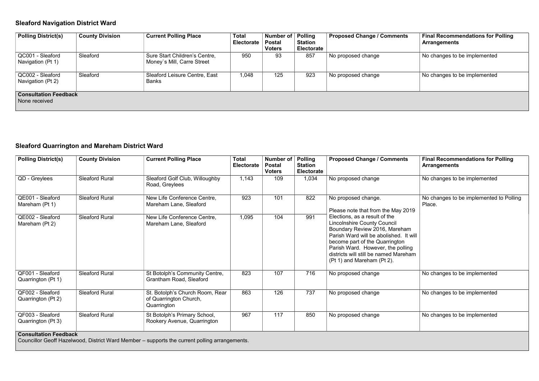## Sleaford Navigation District Ward

| <b>Proposed Change / Comments</b> | <b>Final Recommendations for Polling</b><br><b>Arrangements</b> |  |  |  |  |  |
|-----------------------------------|-----------------------------------------------------------------|--|--|--|--|--|
| No proposed change                | No changes to be implemented                                    |  |  |  |  |  |
| No proposed change                | No changes to be implemented                                    |  |  |  |  |  |
|                                   |                                                                 |  |  |  |  |  |

| <b>Polling District(s)</b>                    | <b>County Division</b> | <b>Current Polling Place</b>                                | <b>Total</b><br><b>Electorate</b> | Number of   Polling<br><b>Postal</b><br><b>Voters</b> | <b>Station</b><br><b>Electorate</b> | <b>Proposed Change / Comments</b> | <b>Final Recommendations for P</b><br>Arrangements |
|-----------------------------------------------|------------------------|-------------------------------------------------------------|-----------------------------------|-------------------------------------------------------|-------------------------------------|-----------------------------------|----------------------------------------------------|
| QC001 - Sleaford<br>Navigation (Pt 1)         | Sleaford               | Sure Start Children's Centre,<br>Money's Mill, Carre Street | 950                               | 93                                                    | 857                                 | No proposed change                | No changes to be implemented                       |
| QC002 - Sleaford<br>Navigation (Pt 2)         | Sleaford               | <b>Sleaford Leisure Centre, East</b><br>Banks               | 1,048                             | 125                                                   | 923                                 | No proposed change                | No changes to be implemented                       |
| <b>Consultation Feedback</b><br>None received |                        |                                                             |                                   |                                                       |                                     |                                   |                                                    |

## Sleaford Quarrington and Mareham District Ward

| <b>Polling District(s)</b>                     | <b>County Division</b> | <b>Current Polling Place</b>                                             | <b>Total</b><br><b>Electorate</b> | <b>Number of</b><br><b>Postal</b><br><b>Voters</b> | <b>Polling</b><br><b>Station</b><br>Electorate | <b>Proposed Change / Comments</b>                                                                                                                                                                                                                                                            | <b>Final Recommendations for Polling</b><br><b>Arrangements</b> |  |
|------------------------------------------------|------------------------|--------------------------------------------------------------------------|-----------------------------------|----------------------------------------------------|------------------------------------------------|----------------------------------------------------------------------------------------------------------------------------------------------------------------------------------------------------------------------------------------------------------------------------------------------|-----------------------------------------------------------------|--|
| QD - Greylees                                  | <b>Sleaford Rural</b>  | Sleaford Golf Club, Willoughby<br>Road, Greylees                         | 1,143                             | 109                                                | 1,034                                          | No proposed change                                                                                                                                                                                                                                                                           | No changes to be implemented                                    |  |
| QE001 - Sleaford<br>Mareham (Pt 1)             | <b>Sleaford Rural</b>  | New Life Conference Centre,<br>Mareham Lane, Sleaford                    | 923                               | 101                                                | 822                                            | No proposed change.<br>Please note that from the May 2019                                                                                                                                                                                                                                    | No changes to be implemented to Polling<br>Place.               |  |
| QE002 - Sleaford<br>Mareham (Pt 2)             | <b>Sleaford Rural</b>  | New Life Conference Centre,<br>Mareham Lane, Sleaford                    | 1,095                             | 104                                                | 991                                            | Elections, as a result of the<br><b>Lincolnshire County Council</b><br>Boundary Review 2016, Mareham<br>Parish Ward will be abolished. It will<br>become part of the Quarrington<br>Parish Ward. However, the polling<br>districts will still be named Mareham<br>(Pt 1) and Mareham (Pt 2). |                                                                 |  |
| QF001 - Sleaford<br>Quarrington (Pt 1)         | <b>Sleaford Rural</b>  | St Botolph's Community Centre,<br><b>Grantham Road, Sleaford</b>         | 823                               | 107                                                | 716                                            | No proposed change                                                                                                                                                                                                                                                                           | No changes to be implemented                                    |  |
| QF002 - Sleaford<br>Quarrington (Pt 2)         | <b>Sleaford Rural</b>  | St. Botolph's Church Room, Rear<br>of Quarrington Church,<br>Quarrington | 863                               | 126                                                | 737                                            | No proposed change                                                                                                                                                                                                                                                                           | No changes to be implemented                                    |  |
| QF003 - Sleaford<br>Quarrington (Pt 3)         | <b>Sleaford Rural</b>  | St Botolph's Primary School,<br>Rookery Avenue, Quarrington              | 967                               | 117                                                | 850                                            | No proposed change                                                                                                                                                                                                                                                                           | No changes to be implemented                                    |  |
| <b>Consultation Feedback</b><br>$\blacksquare$ |                        |                                                                          |                                   |                                                    |                                                |                                                                                                                                                                                                                                                                                              |                                                                 |  |

Councillor Geoff Hazelwood, District Ward Member – supports the current polling arrangements.